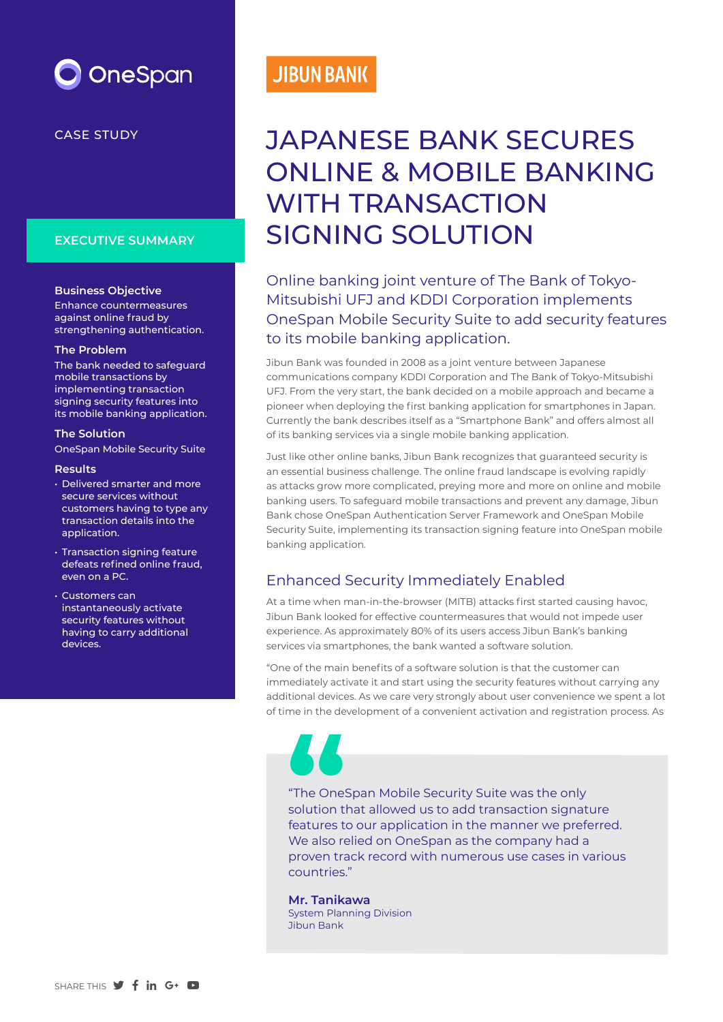

# CASE STUDY

## **EXECUTIVE SUMMARY**

### **Business Objective**

Enhance countermeasures against online fraud by strengthening authentication.

#### **The Problem**

The bank needed to safeguard mobile transactions by implementing transaction signing security features into its mobile banking application.

### **The Solution**

OneSpan Mobile Security Suite

### **Results**

- Delivered smarter and more secure services without customers having to type any transaction details into the application.
- Transaction signing feature defeats refined online fraud, even on a PC.
- Customers can instantaneously activate security features without having to carry additional devices.

# **JIBUN BANK**

# JAPANESE BANK SECURES ONLINE & MOBILE BANKING WITH TRANSACTION SIGNING SOLUTION

Online banking joint venture of The Bank of Tokyo-Mitsubishi UFJ and KDDI Corporation implements OneSpan Mobile Security Suite to add security features to its mobile banking application.

Jibun Bank was founded in 2008 as a joint venture between Japanese communications company KDDI Corporation and The Bank of Tokyo-Mitsubishi UFJ. From the very start, the bank decided on a mobile approach and became a pioneer when deploying the first banking application for smartphones in Japan. Currently the bank describes itself as a "Smartphone Bank" and offers almost all of its banking services via a single mobile banking application.

Just like other online banks, Jibun Bank recognizes that guaranteed security is an essential business challenge. The online fraud landscape is evolving rapidly as attacks grow more complicated, preying more and more on online and mobile banking users. To safeguard mobile transactions and prevent any damage, Jibun Bank chose OneSpan Authentication Server Framework and OneSpan Mobile Security Suite, implementing its transaction signing feature into OneSpan mobile banking application.

# Enhanced Security Immediately Enabled

At a time when man-in-the-browser (MITB) attacks first started causing havoc, Jibun Bank looked for effective countermeasures that would not impede user experience. As approximately 80% of its users access Jibun Bank's banking services via smartphones, the bank wanted a software solution.

"One of the main benefits of a software solution is that the customer can immediately activate it and start using the security features without carrying any additional devices. As we care very strongly about user convenience we spent a lot of time in the development of a convenient activation and registration process. As

"The OneSpan Mobile Security Suite was the only solution that allowed us to add transaction signature features to our application in the manner we preferred. The OneSpan Mobile Security Suite was the only<br>
solution that allowed us to add transaction signatures<br>
features to our application in the manner we prefe<br>
We also relied on OneSpan as the company had a proven track record with numerous use cases in various countries."

**Mr. Tanikawa** System Planning Division Jibun Bank